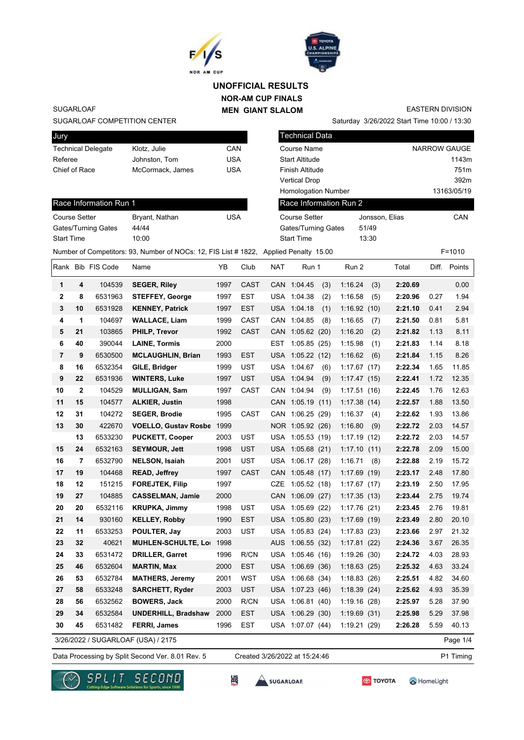



## **NOR-AM CUP FINALS MEN GIANT SLALOM UNOFFICIAL RESULTS**

Saturday 3/26/2022 Start Time 10:00 / 13:30 EASTERN DIVISION

SUGARLOAF

#### SUGARLOAF COMPETITION CENTER

Race Information Run 1

Gates/Turning Gates 44/44 Start Time 10:00

| Jury                      |                  |     |
|---------------------------|------------------|-----|
| <b>Technical Delegate</b> | Klotz, Julie     | CAN |
| Referee                   | Johnston, Tom    | USA |
| Chief of Race             | McCormack, James | USA |
|                           |                  |     |

Course Setter **Bryant, Nathan** USA

| <b>Technical Data</b>      |                |                     |
|----------------------------|----------------|---------------------|
| Course Name                |                | <b>NARROW GAUGE</b> |
| <b>Start Altitude</b>      |                | 1143m               |
| Finish Altitude            |                | 751m                |
| <b>Vertical Drop</b>       |                | 392m                |
| <b>Homologation Number</b> |                | 13163/05/19         |
| Race Information Run 2     |                |                     |
| Course Setter              | Jonsson, Elias | CAN                 |
| Gates/Turning Gates        | 51/49          |                     |
| <b>Start Time</b>          | 13:30          |                     |
|                            |                |                     |

### Number of Competitors: 93, Number of NOCs: 12, FIS List # 1822, Applied Penalty 15.00 F=1010

|                |              | Rank Bib FIS Code | Name                               | ΥB   | Club        | <b>NAT</b> | Run 1            |     | Run 2       |      | Total   | Diff. | Points   |
|----------------|--------------|-------------------|------------------------------------|------|-------------|------------|------------------|-----|-------------|------|---------|-------|----------|
| 1              | 4            | 104539            | <b>SEGER, Riley</b>                | 1997 | <b>CAST</b> |            | CAN 1:04.45      | (3) | 1:16.24     | (3)  | 2:20.69 |       | 0.00     |
| $\mathbf{2}$   | 8            | 6531963           | <b>STEFFEY, George</b>             | 1997 | EST         |            | USA 1:04.38      | (2) | 1:16.58     | (5)  | 2:20.96 | 0.27  | 1.94     |
| 3              | 10           | 6531928           | <b>KENNEY, Patrick</b>             | 1997 | <b>EST</b>  |            | USA 1:04.18      | (1) | 1:16.92(10) |      | 2:21.10 | 0.41  | 2.94     |
| 4              | 1            | 104697            | <b>WALLACE, Liam</b>               | 1999 | CAST        |            | CAN 1:04.85      | (8) | 1:16.65     | (7)  | 2:21.50 | 0.81  | 5.81     |
| 5              | 21           | 103865            | PHILP, Trevor                      | 1992 | <b>CAST</b> | CAN        | 1:05.62(20)      |     | 1:16.20     | (2)  | 2:21.82 | 1.13  | 8.11     |
| 6              | 40           | 390044            | <b>LAINE, Tormis</b>               | 2000 |             | EST        | 1:05.85(25)      |     | 1:15.98     | (1)  | 2:21.83 | 1.14  | 8.18     |
| $\overline{7}$ | 9            | 6530500           | <b>MCLAUGHLIN, Brian</b>           | 1993 | <b>EST</b>  | <b>USA</b> | 1:05.22(12)      |     | 1:16.62     | (6)  | 2:21.84 | 1.15  | 8.26     |
| 8              | 16           | 6532354           | GILE, Bridger                      | 1999 | UST         |            | USA 1:04.67      | (6) | 1:17.67(17) |      | 2:22.34 | 1.65  | 11.85    |
| 9              | 22           | 6531936           | <b>WINTERS, Luke</b>               | 1997 | <b>UST</b>  |            | USA 1:04.94      | (9) | 1:17.47(15) |      | 2:22.41 | 1.72  | 12.35    |
| 10             | $\mathbf{2}$ | 104529            | <b>MULLIGAN, Sam</b>               | 1997 | CAST        |            | CAN 1:04.94      | (9) | 1:17.51(16) |      | 2:22.45 | 1.76  | 12.63    |
| 11             | 15           | 104577            | <b>ALKIER, Justin</b>              | 1998 |             |            | CAN 1:05.19 (11) |     | 1:17.38(14) |      | 2:22.57 | 1.88  | 13.50    |
| 12             | 31           | 104272            | <b>SEGER, Brodie</b>               | 1995 | CAST        |            | CAN 1:06.25 (29) |     | 1:16.37     | (4)  | 2:22.62 | 1.93  | 13.86    |
| 13             | 30           | 422670            | <b>VOELLO, Gustav Rosbe</b>        | 1999 |             |            | NOR 1:05.92 (26) |     | 1:16.80     | (9)  | 2:22.72 | 2.03  | 14.57    |
|                | 13           | 6533230           | <b>PUCKETT, Cooper</b>             | 2003 | <b>UST</b>  | USA        | 1:05.53(19)      |     | 1:17.19     | (12) | 2:22.72 | 2.03  | 14.57    |
| 15             | 24           | 6532163           | <b>SEYMOUR, Jett</b>               | 1998 | <b>UST</b>  |            | USA 1:05.68 (21) |     | 1:17.10     | (11) | 2:22.78 | 2.09  | 15.00    |
| 16             | 7            | 6532790           | <b>NELSON, Isaiah</b>              | 2001 | UST         |            | USA 1:06.17 (28) |     | 1:16.71     | (8)  | 2:22.88 | 2.19  | 15.72    |
| 17             | 19           | 104468            | <b>READ, Jeffrey</b>               | 1997 | <b>CAST</b> |            | CAN 1:05.48 (17) |     | 1:17.69(19) |      | 2:23.17 | 2.48  | 17.80    |
| 18             | 12           | 151215            | <b>FOREJTEK, Filip</b>             | 1997 |             | <b>CZE</b> | 1:05.52(18)      |     | 1:17.67(17) |      | 2:23.19 | 2.50  | 17.95    |
| 19             | 27           | 104885            | <b>CASSELMAN, Jamie</b>            | 2000 |             |            | CAN 1:06.09 (27) |     | 1:17.35(13) |      | 2:23.44 | 2.75  | 19.74    |
| 20             | 20           | 6532116           | <b>KRUPKA, Jimmy</b>               | 1998 | <b>UST</b>  |            | USA 1:05.69 (22) |     | 1:17.76(21) |      | 2:23.45 | 2.76  | 19.81    |
| 21             | 14           | 930160            | <b>KELLEY, Robby</b>               | 1990 | <b>EST</b>  | <b>USA</b> | 1:05.80(23)      |     | 1:17.69(19) |      | 2:23.49 | 2.80  | 20.10    |
| 22             | 11           | 6533253           | POULTER, Jay                       | 2003 | <b>UST</b>  |            | USA 1:05.83 (24) |     | 1:17.83(23) |      | 2:23.66 | 2.97  | 21.32    |
| 23             | 32           | 40621             | <b>MUHLEN-SCHULTE, Loi</b>         | 1998 |             | AUS        | 1:06.55(32)      |     | 1:17.81(22) |      | 2:24.36 | 3.67  | 26.35    |
| 24             | 33           | 6531472           | DRILLER, Garret                    | 1996 | R/CN        |            | USA 1:05.46 (16) |     | 1:19.26(30) |      | 2:24.72 | 4.03  | 28.93    |
| 25             | 46           | 6532604           | <b>MARTIN, Max</b>                 | 2000 | <b>EST</b>  |            | USA 1:06.69 (36) |     | 1:18.63(25) |      | 2:25.32 | 4.63  | 33.24    |
| 26             | 53           | 6532784           | <b>MATHERS, Jeremy</b>             | 2001 | <b>WST</b>  |            | USA 1:06.68 (34) |     | 1:18.83(26) |      | 2:25.51 | 4.82  | 34.60    |
| 27             | 58           | 6533248           | <b>SARCHETT, Ryder</b>             | 2003 | <b>UST</b>  |            | USA 1:07.23 (46) |     | 1:18.39(24) |      | 2:25.62 | 4.93  | 35.39    |
| 28             | 56           | 6532562           | <b>BOWERS, Jack</b>                | 2000 | R/CN        | USA        | 1:06.81(40)      |     | 1:19.16(28) |      | 2:25.97 | 5.28  | 37.90    |
| 29             | 34           | 6532584           | <b>UNDERHILL, Bradshaw</b>         | 2000 | <b>EST</b>  |            | USA 1:06.29 (30) |     | 1:19.69(31) |      | 2:25.98 | 5.29  | 37.98    |
| 30             | 45           | 6531482           | <b>FERRI, James</b>                | 1996 | <b>EST</b>  |            | USA 1:07.07 (44) |     | 1:19.21(29) |      | 2:26.28 | 5.59  | 40.13    |
|                |              |                   | 3/26/2022 / SUGARLOAF (USA) / 2175 |      |             |            |                  |     |             |      |         |       | Page 1/4 |

Data Processing by Split Second Ver. 8.01 Rev. 5 Created 3/26/2022 at 15:24:46 P1 Timing

监

Created 3/26/2022 at 15:24:46





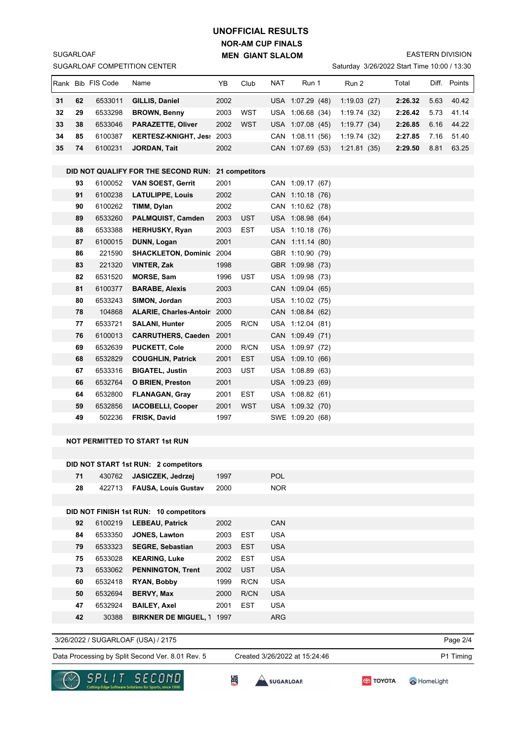# **NOR-AM CUP FINALS MEN GIANT SLALOM UNOFFICIAL RESULTS**

EASTERN DIVISION

|    | SUGARLOAF COMPETITION CENTER<br>Saturday 3/26/2022 Start Time 10:00 / 13:30 |                    |                                                    |              |                    |            |                                      |  |             |  |         |      |              |
|----|-----------------------------------------------------------------------------|--------------------|----------------------------------------------------|--------------|--------------------|------------|--------------------------------------|--|-------------|--|---------|------|--------------|
|    |                                                                             | Rank Bib FIS Code  | Name                                               | YB           | Club               | NAT        | Run 1                                |  | Run 2       |  | Total   |      | Diff. Points |
| 31 | 62                                                                          | 6533011            | GILLIS, Daniel                                     | 2002         |                    |            | USA 1:07.29 (48)                     |  | 1:19.03(27) |  | 2:26.32 | 5.63 | 40.42        |
| 32 | 29                                                                          | 6533298            | <b>BROWN, Benny</b>                                | 2003         | WST                |            | USA 1:06.68 (34)                     |  | 1:19.74(32) |  | 2:26.42 | 5.73 | 41.14        |
| 33 | 38                                                                          | 6533046            | <b>PARAZETTE, Oliver</b>                           | 2002         | <b>WST</b>         |            | USA 1:07.08 (45)                     |  | 1:19.77(34) |  | 2:26.85 | 6.16 | 44.22        |
| 34 | 85                                                                          | 6100387            | KERTESZ-KNIGHT, Jes: 2003                          |              |                    |            | CAN 1:08.11 (56)                     |  | 1:19.74(32) |  | 2:27.85 | 7.16 | 51.40        |
| 35 | 74                                                                          | 6100231            | <b>JORDAN, Tait</b>                                | 2002         |                    |            | CAN 1:07.69 (53)                     |  | 1:21.81(35) |  | 2:29.50 | 8.81 | 63.25        |
|    |                                                                             |                    |                                                    |              |                    |            |                                      |  |             |  |         |      |              |
|    |                                                                             |                    | DID NOT QUALIFY FOR THE SECOND RUN: 21 competitors |              |                    |            |                                      |  |             |  |         |      |              |
|    | 93                                                                          | 6100052            | <b>VAN SOEST, Gerrit</b>                           | 2001         |                    |            | CAN 1:09.17 (67)                     |  |             |  |         |      |              |
|    | 91                                                                          | 6100238            | <b>LATULIPPE, Louis</b>                            | 2002         |                    |            | CAN 1:10.18 (76)                     |  |             |  |         |      |              |
|    | 90                                                                          | 6100262            | TIMM, Dylan                                        | 2002         |                    |            | CAN 1:10.62 (78)                     |  |             |  |         |      |              |
|    | 89                                                                          | 6533260            | PALMQUIST, Camden                                  | 2003         | UST                |            | USA 1:08.98 (64)                     |  |             |  |         |      |              |
|    | 88                                                                          | 6533388            | <b>HERHUSKY, Ryan</b>                              | 2003         | EST                |            | USA 1:10.18 (76)                     |  |             |  |         |      |              |
|    | 87                                                                          | 6100015            | DUNN, Logan                                        | 2001         |                    |            | CAN 1:11.14 (80)                     |  |             |  |         |      |              |
|    | 86                                                                          | 221590             | <b>SHACKLETON, Dominic 2004</b>                    |              |                    |            | GBR 1:10.90 (79)                     |  |             |  |         |      |              |
|    | 83                                                                          | 221320             | VINTER, Zak                                        | 1998         |                    |            | GBR 1:09.98 (73)                     |  |             |  |         |      |              |
|    | 82                                                                          | 6531520            | <b>MORSE, Sam</b>                                  | 1996         | <b>UST</b>         |            | USA 1:09.98 (73)                     |  |             |  |         |      |              |
|    | 81                                                                          | 6100377            | <b>BARABE, Alexis</b>                              | 2003         |                    |            | CAN 1:09.04 (65)                     |  |             |  |         |      |              |
|    | 80                                                                          | 6533243            | SIMON, Jordan                                      | 2003         |                    |            | USA 1:10.02 (75)                     |  |             |  |         |      |              |
|    | 78                                                                          | 104868             | ALARIE, Charles-Antoir 2000                        |              |                    |            | CAN 1:08.84 (62)                     |  |             |  |         |      |              |
|    | 77                                                                          | 6533721            | <b>SALANI, Hunter</b>                              | 2005         | R/CN               |            | USA 1:12.04 (81)                     |  |             |  |         |      |              |
|    | 76                                                                          | 6100013            | <b>CARRUTHERS, Caeden</b> 2001                     |              |                    |            | CAN 1:09.49 (71)                     |  |             |  |         |      |              |
|    | 69                                                                          | 6532639<br>6532829 | <b>PUCKETT, Cole</b>                               | 2000         | R/CN<br><b>EST</b> |            | USA 1:09.97 (72)                     |  |             |  |         |      |              |
|    | 68<br>67                                                                    | 6533316            | <b>COUGHLIN, Patrick</b><br><b>BIGATEL, Justin</b> | 2001<br>2003 | <b>UST</b>         |            | USA 1:09.10 (66)<br>USA 1:08.89 (63) |  |             |  |         |      |              |
|    | 66                                                                          | 6532764            | <b>O BRIEN, Preston</b>                            | 2001         |                    |            | USA 1:09.23 (69)                     |  |             |  |         |      |              |
|    | 64                                                                          | 6532800            | <b>FLANAGAN, Gray</b>                              | 2001         | EST                |            | USA 1:08.82 (61)                     |  |             |  |         |      |              |
|    | 59                                                                          | 6532856            | <b>IACOBELLI, Cooper</b>                           | 2001         | WST                |            | USA 1:09.32 (70)                     |  |             |  |         |      |              |
|    | 49                                                                          | 502236             | FRISK, David                                       | 1997         |                    |            | SWE 1:09.20 (68)                     |  |             |  |         |      |              |
|    |                                                                             |                    |                                                    |              |                    |            |                                      |  |             |  |         |      |              |
|    |                                                                             |                    | <b>NOT PERMITTED TO START 1st RUN</b>              |              |                    |            |                                      |  |             |  |         |      |              |
|    |                                                                             |                    |                                                    |              |                    |            |                                      |  |             |  |         |      |              |
|    |                                                                             |                    | DID NOT START 1st RUN: 2 competitors               |              |                    |            |                                      |  |             |  |         |      |              |
|    | 71                                                                          | 430762             | JASICZEK, Jedrzej                                  | 1997         |                    | POL        |                                      |  |             |  |         |      |              |
|    | 28                                                                          | 422713             | <b>FAUSA, Louis Gustav</b>                         | 2000         |                    | <b>NOR</b> |                                      |  |             |  |         |      |              |
|    |                                                                             |                    |                                                    |              |                    |            |                                      |  |             |  |         |      |              |
|    |                                                                             |                    | DID NOT FINISH 1st RUN: 10 competitors             |              |                    |            |                                      |  |             |  |         |      |              |
|    | 92                                                                          | 6100219            | <b>LEBEAU, Patrick</b>                             | 2002         |                    | CAN        |                                      |  |             |  |         |      |              |
|    | 84                                                                          | 6533350            | JONES, Lawton                                      | 2003         | <b>EST</b>         | <b>USA</b> |                                      |  |             |  |         |      |              |
|    | 79                                                                          | 6533323            | <b>SEGRE, Sebastian</b>                            | 2003         | <b>EST</b>         | <b>USA</b> |                                      |  |             |  |         |      |              |
|    | 75                                                                          | 6533028            | <b>KEARING, Luke</b>                               | 2002         | <b>EST</b>         | <b>USA</b> |                                      |  |             |  |         |      |              |
|    | 73                                                                          | 6533062            | <b>PENNINGTON, Trent</b>                           | 2002         | <b>UST</b>         | <b>USA</b> |                                      |  |             |  |         |      |              |
|    | 60                                                                          | 6532418            | RYAN, Bobby                                        | 1999         | R/CN               | <b>USA</b> |                                      |  |             |  |         |      |              |
|    | 50                                                                          | 6532694            | <b>BERVY, Max</b>                                  | 2000         | R/CN               | <b>USA</b> |                                      |  |             |  |         |      |              |
|    | 47                                                                          | 6532924            | <b>BAILEY, Axel</b>                                | 2001         | <b>EST</b>         | <b>USA</b> |                                      |  |             |  |         |      |              |
|    | 42                                                                          | 30388              | <b>BIRKNER DE MIGUEL, 1 1997</b>                   |              |                    | ARG        |                                      |  |             |  |         |      |              |
|    |                                                                             |                    |                                                    |              |                    |            |                                      |  |             |  |         |      |              |

3/26/2022 / SUGARLOAF (USA) / 2175

SUGARLOAF

Data Processing by Split Second Ver. 8.01 Rev. 5 Created 3/26/2022 at 15:24:46 P1 Timing

Created 3/26/2022 at 15:24:46





```
SUGARLOAR
```
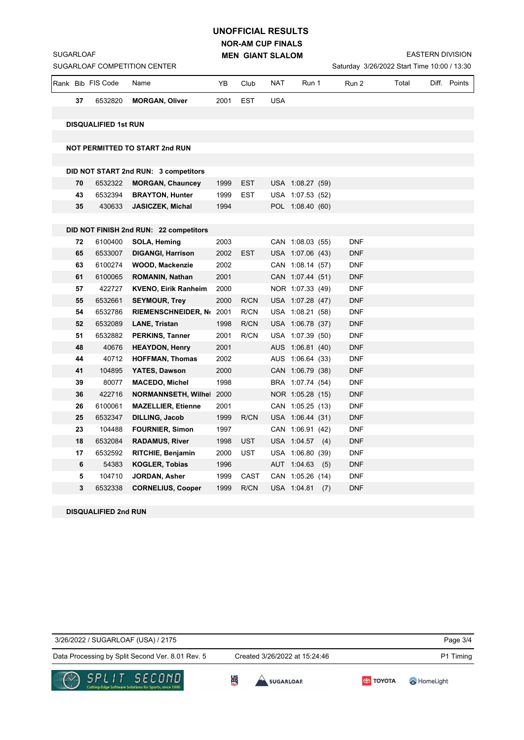## **NOR-AM CUP FINALS UNOFFICIAL RESULTS**

**MEN GIANT SLALOM**

EASTERN DIVISION

| SUGARLOAF COMPETITION CENTER<br>Saturday 3/26/2022 Start Time 10:00 / 13:30 |    |                             |                                                                 |      |            |            |                  |            |       |  |              |
|-----------------------------------------------------------------------------|----|-----------------------------|-----------------------------------------------------------------|------|------------|------------|------------------|------------|-------|--|--------------|
|                                                                             |    | Rank Bib FIS Code           | Name                                                            | YB   | Club       | NAT        | Run 1            | Run 2      | Total |  | Diff. Points |
|                                                                             | 37 | 6532820                     | <b>MORGAN, Oliver</b>                                           | 2001 | EST        | <b>USA</b> |                  |            |       |  |              |
|                                                                             |    |                             |                                                                 |      |            |            |                  |            |       |  |              |
|                                                                             |    | <b>DISQUALIFIED 1st RUN</b> |                                                                 |      |            |            |                  |            |       |  |              |
|                                                                             |    |                             |                                                                 |      |            |            |                  |            |       |  |              |
|                                                                             |    |                             | <b>NOT PERMITTED TO START 2nd RUN</b>                           |      |            |            |                  |            |       |  |              |
|                                                                             |    |                             |                                                                 |      |            |            |                  |            |       |  |              |
|                                                                             | 70 | 6532322                     | DID NOT START 2nd RUN: 3 competitors<br><b>MORGAN, Chauncey</b> | 1999 | EST        |            | USA 1:08.27 (59) |            |       |  |              |
|                                                                             | 43 | 6532394                     | <b>BRAYTON, Hunter</b>                                          | 1999 | <b>EST</b> |            | USA 1:07.53 (52) |            |       |  |              |
|                                                                             | 35 | 430633                      | <b>JASICZEK, Michal</b>                                         | 1994 |            |            | POL 1:08.40 (60) |            |       |  |              |
|                                                                             |    |                             |                                                                 |      |            |            |                  |            |       |  |              |
|                                                                             |    |                             | DID NOT FINISH 2nd RUN: 22 competitors                          |      |            |            |                  |            |       |  |              |
|                                                                             | 72 | 6100400                     | SOLA, Heming                                                    | 2003 |            |            | CAN 1:08.03 (55) | <b>DNF</b> |       |  |              |
|                                                                             | 65 | 6533007                     | <b>DIGANGI, Harrison</b>                                        | 2002 | <b>EST</b> |            | USA 1:07.06 (43) | <b>DNF</b> |       |  |              |
|                                                                             | 63 | 6100274                     | <b>WOOD, Mackenzie</b>                                          | 2002 |            |            | CAN 1:08.14 (57) | <b>DNF</b> |       |  |              |
|                                                                             | 61 | 6100065                     | <b>ROMANIN, Nathan</b>                                          | 2001 |            |            | CAN 1:07.44 (51) | <b>DNF</b> |       |  |              |
|                                                                             | 57 | 422727                      | <b>KVENO, Eirik Ranheim</b>                                     | 2000 |            |            | NOR 1:07.33 (49) | <b>DNF</b> |       |  |              |
|                                                                             | 55 | 6532661                     | <b>SEYMOUR, Trey</b>                                            | 2000 | R/CN       |            | USA 1:07.28 (47) | <b>DNF</b> |       |  |              |
|                                                                             | 54 | 6532786                     | RIEMENSCHNEIDER, No. 2001                                       |      | R/CN       |            | USA 1:08.21 (58) | <b>DNF</b> |       |  |              |
|                                                                             | 52 | 6532089                     | <b>LANE, Tristan</b>                                            | 1998 | R/CN       |            | USA 1:06.78 (37) | <b>DNF</b> |       |  |              |
|                                                                             | 51 | 6532882                     | <b>PERKINS, Tanner</b>                                          | 2001 | R/CN       |            | USA 1:07.39 (50) | <b>DNF</b> |       |  |              |
|                                                                             | 48 | 40676                       | <b>HEAYDON, Henry</b>                                           | 2001 |            |            | AUS 1:06.81 (40) | <b>DNF</b> |       |  |              |
|                                                                             | 44 | 40712                       | <b>HOFFMAN, Thomas</b>                                          | 2002 |            |            | AUS 1:06.64 (33) | <b>DNF</b> |       |  |              |
|                                                                             | 41 | 104895                      | YATES, Dawson                                                   | 2000 |            |            | CAN 1:06.79 (38) | <b>DNF</b> |       |  |              |
|                                                                             | 39 | 80077                       | <b>MACEDO, Michel</b>                                           | 1998 |            |            | BRA 1:07.74 (54) | <b>DNF</b> |       |  |              |
|                                                                             | 36 | 422716                      | <b>NORMANNSETH, Wilhel</b>                                      | 2000 |            |            | NOR 1:05.28 (15) | <b>DNF</b> |       |  |              |
|                                                                             | 26 | 6100061                     | <b>MAZELLIER, Etienne</b>                                       | 2001 |            |            | CAN 1:05.25 (13) | <b>DNF</b> |       |  |              |
|                                                                             | 25 | 6532347                     | <b>DILLING, Jacob</b>                                           | 1999 | R/CN       |            | USA 1:06.44 (31) | <b>DNF</b> |       |  |              |
|                                                                             | 23 | 104488                      | <b>FOURNIER, Simon</b>                                          | 1997 |            |            | CAN 1:06.91 (42) | <b>DNF</b> |       |  |              |
|                                                                             | 18 | 6532084                     | <b>RADAMUS, River</b>                                           | 1998 | <b>UST</b> |            | USA 1:04.57 (4)  | <b>DNF</b> |       |  |              |
|                                                                             | 17 | 6532592                     | <b>RITCHIE, Benjamin</b>                                        | 2000 | <b>UST</b> |            | USA 1:06.80 (39) | <b>DNF</b> |       |  |              |
|                                                                             | 6  | 54383                       | <b>KOGLER, Tobias</b>                                           | 1996 |            |            | AUT 1:04.63 (5)  | <b>DNF</b> |       |  |              |
|                                                                             | 5  | 104710                      | JORDAN, Asher                                                   | 1999 | CAST       |            | CAN 1:05.26 (14) | <b>DNF</b> |       |  |              |
|                                                                             | 3  | 6532338                     | <b>CORNELIUS, Cooper</b>                                        | 1999 | R/CN       |            | USA 1:04.81 (7)  | <b>DNF</b> |       |  |              |

**DISQUALIFIED 2nd RUN**

SUGARLOAF

| 3/26/2022 / SUGARLOAF (USA) / 2175                                                        |                               |                  | Page 3/4  |
|-------------------------------------------------------------------------------------------|-------------------------------|------------------|-----------|
| Data Processing by Split Second Ver. 8.01 Rev. 5                                          | Created 3/26/2022 at 15:24:46 |                  | P1 Timing |
| $\curvearrowright$ SPLIT SECOND<br>Cutting-Edge Software Solutions for Sports, since 1990 | 贤<br>SUGARLOAF                | <b>ED TOYOTA</b> | HomeLight |